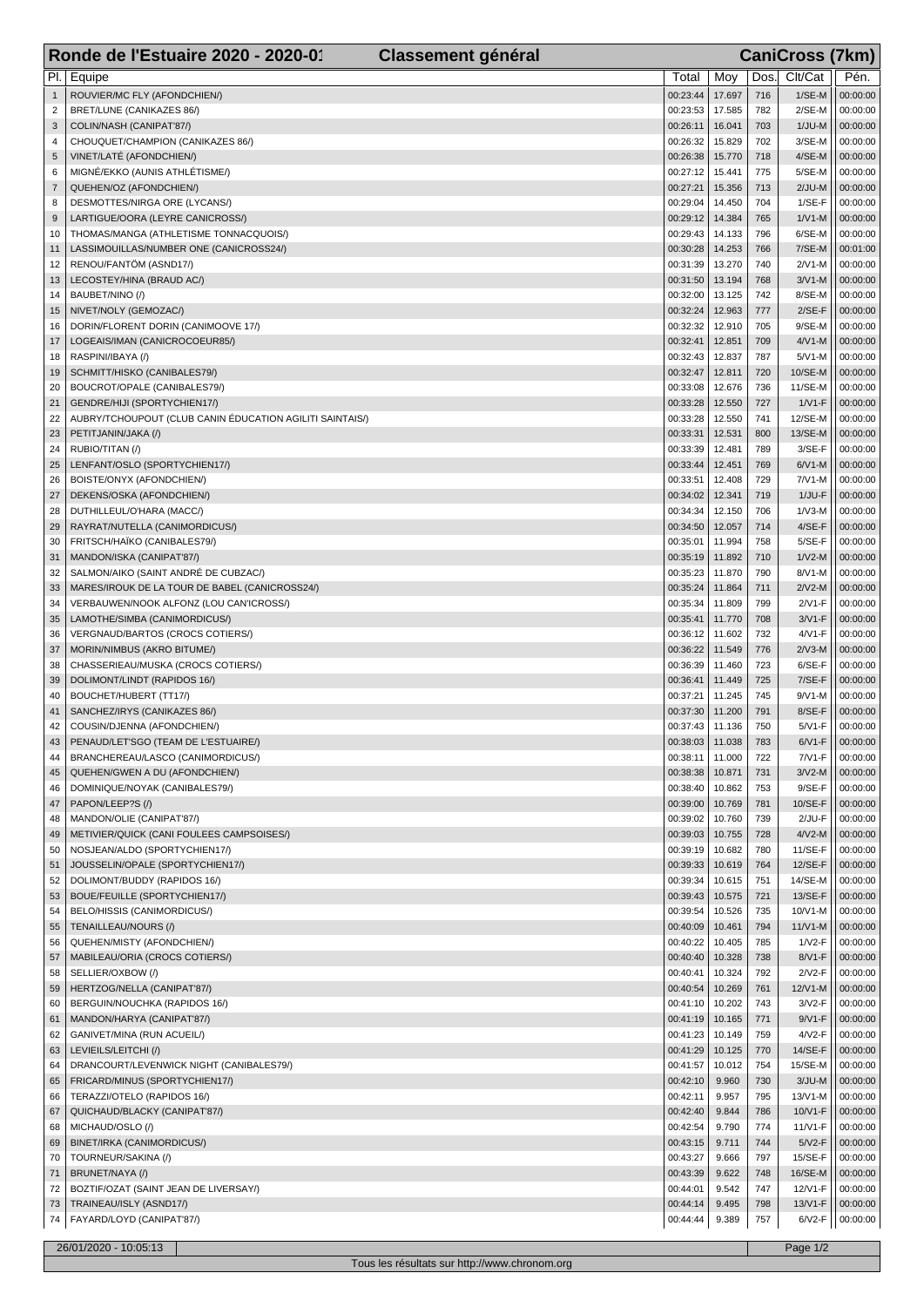|                     | Ronde de l'Estuaire 2020 - 2020-01<br><b>Classement général</b>       | <b>CaniCross (7km)</b> |                  |            |                       |                      |  |  |
|---------------------|-----------------------------------------------------------------------|------------------------|------------------|------------|-----------------------|----------------------|--|--|
| PI.                 | Equipe                                                                | Total                  | Moy              | Dos.       | Clt/Cat               | Pén.                 |  |  |
| $\mathbf{1}$        | ROUVIER/MC FLY (AFONDCHIEN/)                                          | 00:23:44               | 17.697           | 716        | $1/SE-M$              | 00:00:00             |  |  |
| $\overline{c}$      | BRET/LUNE (CANIKAZES 86/)                                             | 00:23:53               | 17.585           | 782        | $2/SE-M$              | 00:00:00             |  |  |
| 3                   | COLIN/NASH (CANIPAT'87/)                                              | 00:26:11               | 16.041           | 703        | $1/JU-M$              | 00:00:00             |  |  |
| 4                   | CHOUQUET/CHAMPION (CANIKAZES 86/)                                     | 00:26:32               | 15.829           | 702        | 3/SE-M                | 00:00:00             |  |  |
| 5                   | VINET/LATÉ (AFONDCHIEN/)                                              | 00:26:38               | 15.770           | 718        | $4/SE-M$              | 00:00:00             |  |  |
| 6                   | MIGNÉ/EKKO (AUNIS ATHLÉTISME/)                                        | 00:27:12               | 15.441           | 775        | $5/SE-M$              | 00:00:00             |  |  |
| $\overline{7}$<br>8 | QUEHEN/OZ (AFONDCHIEN/)<br>DESMOTTES/NIRGA ORE (LYCANS/)              | 00:27:21<br>00:29:04   | 15.356<br>14.450 | 713<br>704 | $2/JU-M$<br>$1/SE-F$  | 00:00:00<br>00:00:00 |  |  |
| 9                   | LARTIGUE/OORA (LEYRE CANICROSS/)                                      | 00:29:12               | 14.384           | 765        | $1/V1-M$              | 00:00:00             |  |  |
| 10                  | THOMAS/MANGA (ATHLETISME TONNACQUOIS/)                                | 00:29:43               | 14.133           | 796        | 6/SE-M                | 00:00:00             |  |  |
| 11                  | LASSIMOUILLAS/NUMBER ONE (CANICROSS24/)                               | 00:30:28               | 14.253           | 766        | 7/SE-M                | 00:01:00             |  |  |
| 12                  | RENOU/FANTÖM (ASND17/)                                                | 00:31:39               | 13.270           | 740        | $2/V1-M$              | 00:00:00             |  |  |
| 13                  | LECOSTEY/HINA (BRAUD AC/)                                             | 00:31:50               | 13.194           | 768        | $3/V1-M$              | 00:00:00             |  |  |
| 14                  | BAUBET/NINO (/)                                                       | 00:32:00               | 13.125           | 742        | 8/SE-M                | 00:00:00             |  |  |
| 15                  | NIVET/NOLY (GEMOZAC/)                                                 | 00:32:24               | 12.963           | 777<br>705 | $2/SE-F$              | 00:00:00             |  |  |
| 16<br>17            | DORIN/FLORENT DORIN (CANIMOOVE 17/)<br>LOGEAIS/IMAN (CANICROCOEUR85/) | 00:32:32<br>00:32:41   | 12.910<br>12.851 | 709        | $9/SE-M$<br>$4/V1-M$  | 00:00:00<br>00:00:00 |  |  |
| 18                  | RASPINI/IBAYA (/)                                                     | 00:32:43               | 12.837           | 787        | $5/V1-M$              | 00:00:00             |  |  |
| 19                  | SCHMITT/HISKO (CANIBALES79/)                                          | 00:32:47               | 12.811           | 720        | 10/SE-M               | 00:00:00             |  |  |
| 20                  | BOUCROT/OPALE (CANIBALES79/)                                          | 00:33:08               | 12.676           | 736        | 11/SE-M               | 00:00:00             |  |  |
| 21                  | GENDRE/HIJI (SPORTYCHIEN17/)                                          | 00:33:28               | 12.550           | 727        | $1/V1-F$              | 00:00:00             |  |  |
| 22                  | AUBRY/TCHOUPOUT (CLUB CANIN ÉDUCATION AGILITI SAINTAIS/)              | 00:33:28               | 12.550           | 741        | 12/SE-M               | 00:00:00             |  |  |
| 23                  | PETITJANIN/JAKA (/)                                                   | 00:33:31               | 12.531           | 800        | 13/SE-M               | 00:00:00             |  |  |
| 24                  | RUBIO/TITAN (/)                                                       | 00:33:39               | 12.481           | 789        | $3/SE-F$              | 00:00:00             |  |  |
| 25                  | LENFANT/OSLO (SPORTYCHIEN17/)                                         | 00:33:44               | 12.451           | 769<br>729 | $6/V1-M$              | 00:00:00             |  |  |
| 26<br>27            | BOISTE/ONYX (AFONDCHIEN/)<br>DEKENS/OSKA (AFONDCHIEN/)                | 00:33:51<br>00:34:02   | 12.408<br>12.341 | 719        | $7/V1-M$<br>$1/JU-F$  | 00:00:00<br>00:00:00 |  |  |
| 28                  | DUTHILLEUL/O'HARA (MACC/)                                             | 00:34:34               | 12.150           | 706        | $1/V3-M$              | 00:00:00             |  |  |
| 29                  | RAYRAT/NUTELLA (CANIMORDICUS/)                                        | 00:34:50               | 12.057           | 714        | $4/SE-F$              | 00:00:00             |  |  |
| 30                  | FRITSCH/HAÏKO (CANIBALES79/)                                          | 00:35:01               | 11.994           | 758        | $5/SE-F$              | 00:00:00             |  |  |
| 31                  | MANDON/ISKA (CANIPAT'87/)                                             | 00:35:19               | 11.892           | 710        | $1/V2-M$              | 00:00:00             |  |  |
| 32                  | SALMON/AIKO (SAINT ANDRÉ DE CUBZAC/)                                  | 00:35:23               | 11.870           | 790        | 8/V1-M                | 00:00:00             |  |  |
| 33                  | MARES/IROUK DE LA TOUR DE BABEL (CANICROSS24/)                        | 00:35:24               | 11.864           | 711        | $2/V2-M$              | 00:00:00             |  |  |
| 34                  | VERBAUWEN/NOOK ALFONZ (LOU CAN'ICROSS/)                               | 00:35:34               | 11.809           | 799        | $2/N1-F$              | 00:00:00             |  |  |
| 35<br>36            | LAMOTHE/SIMBA (CANIMORDICUS/)<br>VERGNAUD/BARTOS (CROCS COTIERS/)     | 00:35:41<br>00:36:12   | 11.770<br>11.602 | 708<br>732 | $3/N1-F$<br>$4/VI$ -F | 00:00:00<br>00:00:00 |  |  |
| 37                  | MORIN/NIMBUS (AKRO BITUME/)                                           | 00:36:22               | 11.549           | 776        | $2/V3-M$              | 00:00:00             |  |  |
| 38                  | CHASSERIEAU/MUSKA (CROCS COTIERS/)                                    | 00:36:39               | 11.460           | 723        | $6/SE-F$              | 00:00:00             |  |  |
| 39                  | DOLIMONT/LINDT (RAPIDOS 16/)                                          | 00:36:41               | 11.449           | 725        | 7/SE-F                | 00:00:00             |  |  |
| 40                  | BOUCHET/HUBERT (TT17/)                                                | 00:37:21               | 11.245           | 745        | $9/V1-M$              | 00:00:00             |  |  |
| 41                  | SANCHEZ/IRYS (CANIKAZES 86/)                                          | 00:37:30               | 11.200           | 791        | 8/SE-F                | 00:00:00             |  |  |
| 42                  | COUSIN/DJENNA (AFONDCHIEN/)                                           | 00:37:43               | 11.136           | 750        | $5/N1-F$              | 00:00:00             |  |  |
| 43                  | PENAUD/LET'SGO (TEAM DE L'ESTUAIRE/)                                  | 00:38:03               | 11.038           | 783        | $6/V1-F$              | 00:00:00             |  |  |
| 44<br>45            | BRANCHEREAU/LASCO (CANIMORDICUS/)<br>QUEHEN/GWEN A DU (AFONDCHIEN/)   | 00:38:11<br>00:38:38   | 11.000<br>10.871 | 722<br>731 | $7/N1-F$<br>$3/V2-M$  | 00:00:00<br>00:00:00 |  |  |
| 46                  | DOMINIQUE/NOYAK (CANIBALES79/)                                        | 00:38:40               | 10.862           | 753        | $9/SE-F$              | 00:00:00             |  |  |
| 47                  | PAPON/LEEP?S (/)                                                      | 00:39:00               | 10.769           | 781        | 10/SE-F               | 00:00:00             |  |  |
| 48                  | MANDON/OLIE (CANIPAT'87/)                                             | 00:39:02               | 10.760           | 739        | 2/JU-F                | 00:00:00             |  |  |
| 49                  | METIVIER/QUICK (CANI FOULEES CAMPSOISES/)                             | 00:39:03               | 10.755           | 728        | $4/V2-M$              | 00:00:00             |  |  |
| 50                  | NOSJEAN/ALDO (SPORTYCHIEN17/)                                         | 00:39:19               | 10.682           | 780        | 11/SE-F               | 00:00:00             |  |  |
| 51                  | JOUSSELIN/OPALE (SPORTYCHIEN17/)                                      | 00:39:33               | 10.619           | 764        | 12/SE-F               | 00:00:00             |  |  |
| 52                  | DOLIMONT/BUDDY (RAPIDOS 16/)                                          | 00:39:34               | 10.615           | 751        | 14/SE-M               | 00:00:00             |  |  |
| 53<br>54            | BOUE/FEUILLE (SPORTYCHIEN17/)<br>BELO/HISSIS (CANIMORDICUS/)          | 00:39:43<br>00:39:54   | 10.575<br>10.526 | 721<br>735 | 13/SE-F<br>10/V1-M    | 00:00:00<br>00:00:00 |  |  |
| 55                  | TENAILLEAU/NOURS (/)                                                  | 00:40:09               | 10.461           | 794        | $11/V1-M$             | 00:00:00             |  |  |
| 56                  | QUEHEN/MISTY (AFONDCHIEN/)                                            | 00:40:22               | 10.405           | 785        | $1/N2-F$              | 00:00:00             |  |  |
| 57                  | MABILEAU/ORIA (CROCS COTIERS/)                                        | 00:40:40               | 10.328           | 738        | 8/V1-F                | 00:00:00             |  |  |
| 58                  | SELLIER/OXBOW (/)                                                     | 00:40:41               | 10.324           | 792        | $2N2-F$               | 00:00:00             |  |  |
| 59                  | HERTZOG/NELLA (CANIPAT'87/)                                           | 00:40:54               | 10.269           | 761        | 12/V1-M               | 00:00:00             |  |  |
| 60                  | BERGUIN/NOUCHKA (RAPIDOS 16/)                                         | 00:41:10               | 10.202           | 743        | $3/12-F$              | 00:00:00             |  |  |
| 61<br>62            | MANDON/HARYA (CANIPAT'87/)<br>GANIVET/MINA (RUN ACUEIL/)              | 00:41:19<br>00:41:23   | 10.165<br>10.149 | 771<br>759 | $9/N1-F$<br>$4/12-F$  | 00:00:00<br>00:00:00 |  |  |
| 63                  | LEVIEILS/LEITCHI (/)                                                  | 00:41:29               | 10.125           | 770        | 14/SE-F               | 00:00:00             |  |  |
| 64                  | DRANCOURT/LEVENWICK NIGHT (CANIBALES79/)                              | 00:41:57               | 10.012           | 754        | 15/SE-M               | 00:00:00             |  |  |
| 65                  | FRICARD/MINUS (SPORTYCHIEN17/)                                        | 00:42:10               | 9.960            | 730        | $3/JU-M$              | 00:00:00             |  |  |
| 66                  | TERAZZI/OTELO (RAPIDOS 16/)                                           | 00:42:11               | 9.957            | 795        | 13/V1-M               | 00:00:00             |  |  |
| 67                  | QUICHAUD/BLACKY (CANIPAT'87/)                                         | 00:42:40               | 9.844            | 786        | 10/V1-F               | 00:00:00             |  |  |
| 68                  | MICHAUD/OSLO (/)                                                      | 00:42:54               | 9.790            | 774        | 11/V1-F               | 00:00:00             |  |  |
| 69                  | BINET/IRKA (CANIMORDICUS/)                                            | 00:43:15               | 9.711            | 744<br>797 | $5/N2-F$              | 00:00:00             |  |  |
| 70<br>71            | TOURNEUR/SAKINA (/)<br>BRUNET/NAYA (/)                                | 00:43:27<br>00:43:39   | 9.666<br>9.622   | 748        | 15/SE-F<br>16/SE-M    | 00:00:00<br>00:00:00 |  |  |
| 72                  | BOZTIF/OZAT (SAINT JEAN DE LIVERSAY/)                                 | 00:44:01               | 9.542            | 747        | 12/V1-F               | 00:00:00             |  |  |
| 73                  | TRAINEAU/ISLY (ASND17/)                                               | 00:44:14               | 9.495            | 798        | 13/V1-F               | 00:00:00             |  |  |
| 74                  | FAYARD/LOYD (CANIPAT'87/)                                             | 00:44:44               | 9.389            | 757        | $6/N2-F$              | 00:00:00             |  |  |
|                     |                                                                       |                        |                  |            |                       |                      |  |  |
|                     | 26/01/2020 - 10:05:13                                                 |                        |                  |            | Page 1/2              |                      |  |  |

Tous les résultats sur http://www.chronom.org